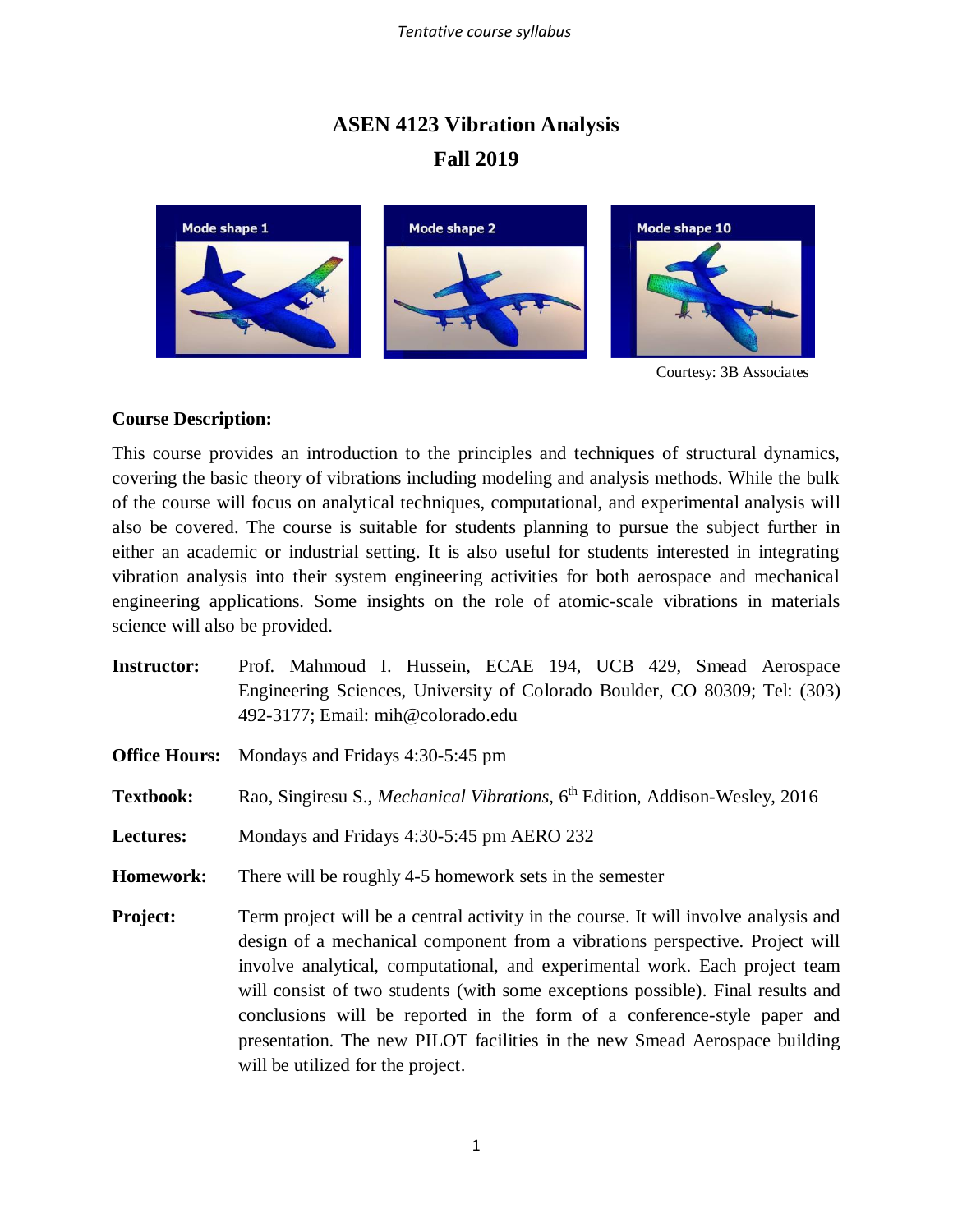## **ASEN 4123 Vibration Analysis Fall 2019**



Courtesy: 3B Associates

## **Course Description:**

This course provides an introduction to the principles and techniques of structural dynamics, covering the basic theory of vibrations including modeling and analysis methods. While the bulk of the course will focus on analytical techniques, computational, and experimental analysis will also be covered. The course is suitable for students planning to pursue the subject further in either an academic or industrial setting. It is also useful for students interested in integrating vibration analysis into their system engineering activities for both aerospace and mechanical engineering applications. Some insights on the role of atomic-scale vibrations in materials science will also be provided.

- **Instructor:** Prof. Mahmoud I. Hussein, ECAE 194, UCB 429, Smead Aerospace Engineering Sciences, University of Colorado Boulder, CO 80309; Tel: (303) 492-3177; Email: mih@colorado.edu
- **Office Hours:** Mondays and Fridays 4:30-5:45 pm
- **Textbook:** Rao, Singiresu S., *Mechanical Vibrations*, 6 th Edition, Addison-Wesley, 2016
- **Lectures:** Mondays and Fridays 4:30-5:45 pm AERO 232
- **Homework:** There will be roughly 4-5 homework sets in the semester
- **Project:** Term project will be a central activity in the course. It will involve analysis and design of a mechanical component from a vibrations perspective. Project will involve analytical, computational, and experimental work. Each project team will consist of two students (with some exceptions possible). Final results and conclusions will be reported in the form of a conference-style paper and presentation. The new PILOT facilities in the new Smead Aerospace building will be utilized for the project.